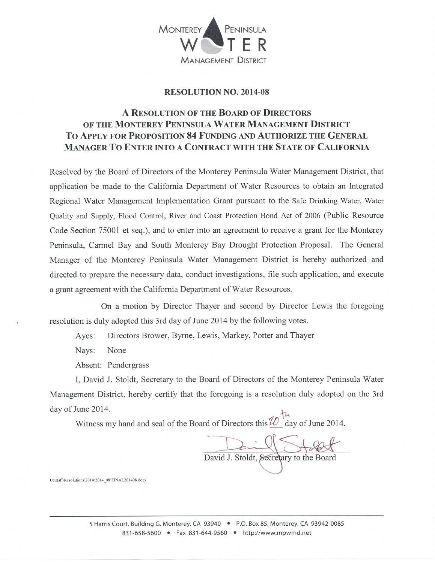

## **RESOLUTION NO. 2014-08**

## A RESOLUTION OF THE BOARD OF DIRECTORS OF THE MONTEREY PENINSULA WATER MANAGEMENT DISTRICT TO APPLY FOR PROPOSITION 84 FUNDING AND AUTHORIZE THE GENERAL **MANAGER TO ENTER INTO A CONTRACT WITH THE STATE OF CALIFORNIA**

Resolved by the Board of Directors of the Monterey Peninsula Water Management District, that application be made to the California Department of Water Resources to obtain an Integrated Regional Water Management Implementation Grant pursuant to the Safe Drinking Water, Water Quality and Supply, Flood Control, River and Coast Protection Bond Act of 2006 (Public Resource Code Section 75001 et seq.), and to enter into an agreement to receive a grant for the Monterey Peninsula, Carmel Bay and South Monterey Bay Drought Protection Proposal. The General Manager of the Monterey Peninsula Water Management District is hereby authorized and directed to prepare the necessary data, conduct investigations, file such application, and execute a grant agreement with the California Department of Water Resources.

On a motion by Director Thayer and second by Director Lewis the foregoing resolution is duly adopted this 3rd day of June 2014 by the following votes.

Ayes: Directors Brower, Byrne, Lewis, Markey, Potter and Thayer

None Nays:

Absent: Pendergrass

I, David J. Stoldt, Secretary to the Board of Directors of the Monterey Peninsula Water Management District, hereby certify that the foregoing is a resolution duly adopted on the 3rd day of June 2014.

Witness my hand and seal of the Board of Directors this  $\omega_{\text{day of June 2014}}^{\dagger}$ .

David J. Stoldt, Secretary to the Board

U:\staff\Resolutions\2014\2014\_08\FINAL201408.docx